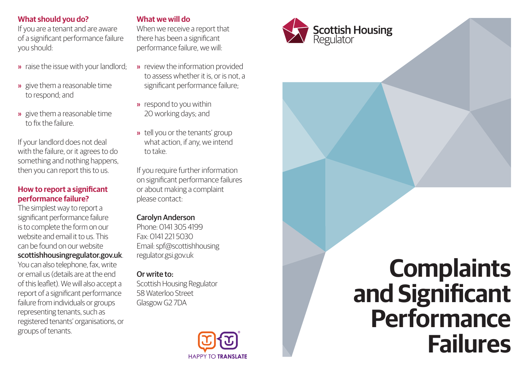## **What should you do?**

If you are a tenant and are aware of a significant performance failure you should:

- » raise the issue with your landlord;
- » give them a reasonable time to respond; and
- » give them a reasonable time to fix the failure.

If your landlord does not deal with the failure, or it agrees to do something and nothing happens, then you can report this to us.

#### **How to report a significant performance failure?**

The simplest way to report a significant performance failure is to complete the form on our website and email it to us. This can be found on our website scottishhousingregulator.gov.uk. You can also telephone, fax, write or email us (details are at the end of this leaflet). We will also accept a report of a significant performance failure from individuals or groups representing tenants, such as registered tenants' organisations, or groups of tenants.

## **What we will do**

When we receive a report that there has been a significant performance failure, we will:

- » review the information provided to assess whether it is, or is not, a significant performance failure;
- » respond to you within 20 working days; and
- » tell you or the tenants' group what action, if any, we intend to take.

If you require further information on significant performance failures or about making a complaint please contact:

# Carolyn Anderson

Phone: 0141 305 4199 Fax: 0141 221 5030 Email: spf@scottishhousing regulator.gsi.gov.uk

## Or write to:

Scottish Housing Regulator 58 Waterloo Street Glasgow G2 7DA



# **Scottish Housing**<br>Regulator **Complaints and Significant Performance**

**Failures**